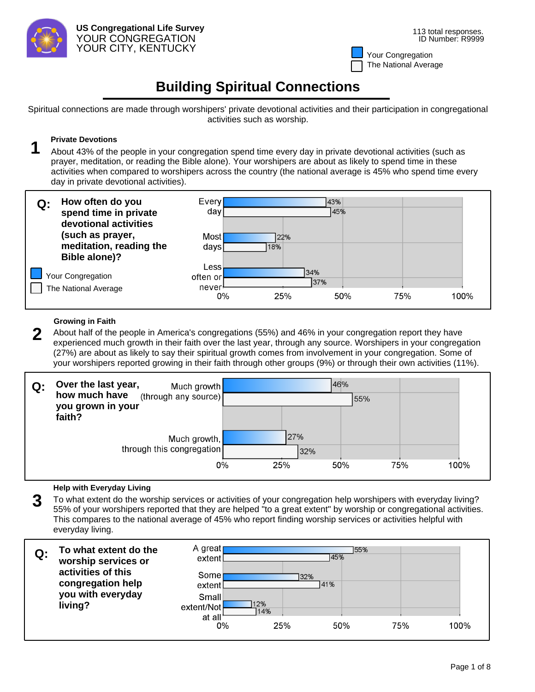

# **Building Spiritual Connections**

Spiritual connections are made through worshipers' private devotional activities and their participation in congregational activities such as worship.

**Private Devotions**<br>**1** About 43% of the people in your congregation spend time every day in private devotional activities (such as prayer, meditation, or reading the Bible alone). Your worshipers are about as likely to spend time in these activities when compared to worshipers across the country (the national average is 45% who spend time every day in private devotional activities).



## **Growing in Faith**

2 About half of the people in America's congregations (55%) and 46% in your congregation report they have experienced much growth in their faith over the last year, through any source. Worshipers in your congregation (27%) are about as likely to say their spiritual growth comes from involvement in your congregation. Some of your worshipers reported growing in their faith through other groups (9%) or through their own activities (11%).

| Q: | Over the last year,<br>Much growth<br>how much have (through any source)<br>you grown in your |    |                   | 46%<br>55% |     |      |
|----|-----------------------------------------------------------------------------------------------|----|-------------------|------------|-----|------|
|    | faith?<br>Much growth,<br>through this congregation                                           | 0% | 27%<br>32%<br>25% | 50%        | 75% | 100% |

## **Help with Everyday Living**

**3** To what extent do the worship services or activities of your congregation help worshipers with everyday living? 55% of your worshipers reported that they are helped "to a great extent" by worship or congregational activities. This compares to the national average of 45% who report finding worship services or activities helpful with everyday living.

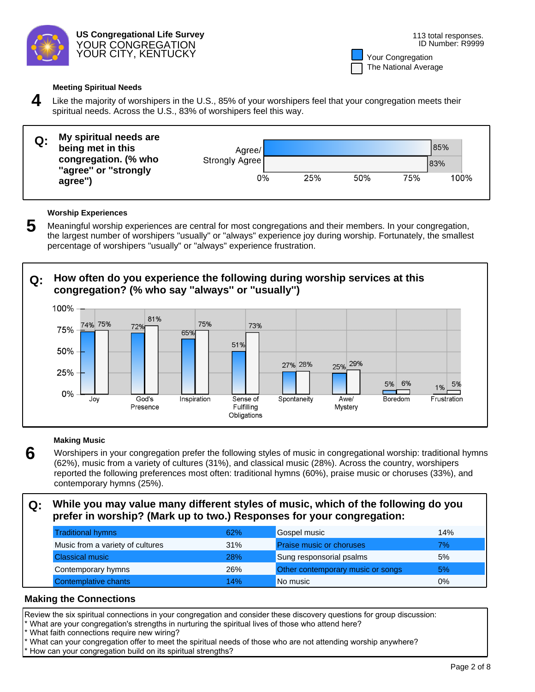

| Your Congregation    |
|----------------------|
| The National Average |

### **Meeting Spiritual Needs**

**4** Like the majority of worshipers in the U.S., 85% of your worshipers feel that your congregation meets their spiritual needs. Across the U.S., 83% of worshipers feel this way.

| Q: | My spiritual needs are<br>being met in this  | Agree/         |     |     |     | 85%  |
|----|----------------------------------------------|----------------|-----|-----|-----|------|
|    | congregation. (% who<br>"agree" or "strongly | Strongly Agree |     |     |     | 83%  |
|    | agree")                                      | 0%             | 25% | 50% | 75% | 100% |

### **Worship Experiences**

**5** Meaningful worship experiences are central for most congregations and their members. In your congregation, the largest number of worshipers "usually" or "always" experience joy during worship. Fortunately, the smallest percentage of worshipers "usually" or "always" experience frustration.

# **Q: How often do you experience the following during worship services at this congregation? (% who say ''always'' or ''usually'')**



### **Making Music**

**6** Worshipers in your congregation prefer the following styles of music in congregational worship: traditional hymns (62%), music from a variety of cultures (31%), and classical music (28%). Across the country, worshipers reported the following preferences most often: traditional hymns (60%), praise music or choruses (33%), and contemporary hymns (25%).

# **Q: While you may value many different styles of music, which of the following do you prefer in worship? (Mark up to two.) Responses for your congregation:**

| <b>Traditional hymns</b>         | 62%        | Gospel music                      | 14% |
|----------------------------------|------------|-----------------------------------|-----|
| Music from a variety of cultures | 31%        | <b>Praise music or choruses</b>   | 7%  |
| <b>Classical music</b>           | <b>28%</b> | Sung responsorial psalms          | 5%  |
| Contemporary hymns               | 26%        | Other contemporary music or songs | 5%  |
| Contemplative chants             | 14%        | No music                          | 0%  |

# **Making the Connections**

Review the six spiritual connections in your congregation and consider these discovery questions for group discussion:

- \* What are your congregation's strengths in nurturing the spiritual lives of those who attend here?
- What faith connections require new wiring?
- What can your congregation offer to meet the spiritual needs of those who are not attending worship anywhere?
- How can your congregation build on its spiritual strengths?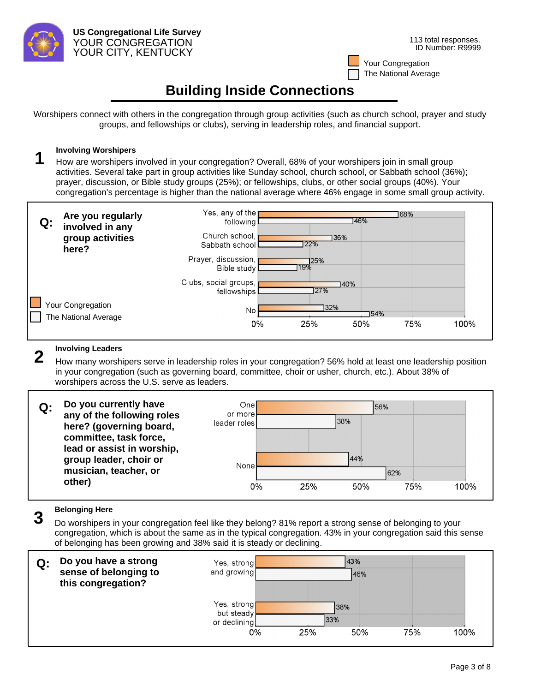

# **Building Inside Connections**

Worshipers connect with others in the congregation through group activities (such as church school, prayer and study groups, and fellowships or clubs), serving in leadership roles, and financial support.

**1** Involving Worshipers<br>**1** How are worshipers involved in your congregation? Overall, 68% of your worshipers join in small group activities. Several take part in group activities like Sunday school, church school, or Sabbath school (36%); prayer, discussion, or Bible study groups (25%); or fellowships, clubs, or other social groups (40%). Your congregation's percentage is higher than the national average where 46% engage in some small group activity.



**2** Involving Leaders<br>**2** How many worshipers serve in leadership roles in your congregation? 56% hold at least one leadership position in your congregation (such as governing board, committee, choir or usher, church, etc.). About 38% of worshipers across the U.S. serve as leaders.



**3** Belonging Here<br>**3** Do worshipers in your congregation feel like they belong? 81% report a strong sense of belonging to your congregation, which is about the same as in the typical congregation. 43% in your congregation said this sense of belonging has been growing and 38% said it is steady or declining.

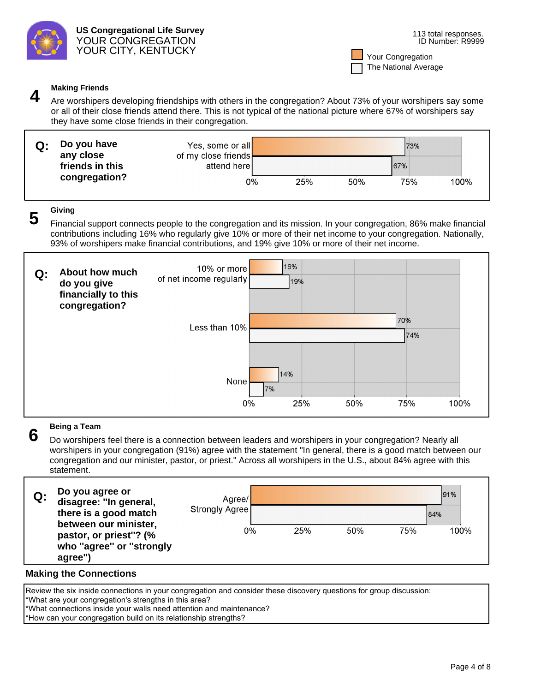

**Making Friends**<br>Are worshipers developing friendships with others in the congregation? About 73% of your worshipers say some or all of their close friends attend there. This is not typical of the national picture where 67% of worshipers say they have some close friends in their congregation.

| Q: | Do you have<br>any close | Yes, some or all<br>of my close friends |     |     | 73% |      |
|----|--------------------------|-----------------------------------------|-----|-----|-----|------|
|    | friends in this          | attend here                             |     |     | 67% |      |
|    | congregation?            | 0%                                      | 25% | 50% | 75% | 100% |

**Giving 5** Financial support connects people to the congregation and its mission. In your congregation, 86% make financial contributions including 16% who regularly give 10% or more of their net income to your congregation. Nationally, 93% of worshipers make financial contributions, and 19% give 10% or more of their net income.



**6** Being a Team<br>**6** Do worshipers feel there is a connection between leaders and worshipers in your congregation? Nearly all worshipers in your congregation (91%) agree with the statement "In general, there is a good match between our congregation and our minister, pastor, or priest." Across all worshipers in the U.S., about 84% agree with this statement.

| Q: | Do you agree or<br>disagree: "In general,<br>there is a good match                     | Agree/<br>Strongly Agree |     |     |     | 91%<br>184% |
|----|----------------------------------------------------------------------------------------|--------------------------|-----|-----|-----|-------------|
|    | between our minister,<br>pastor, or priest"? (%<br>who "agree" or "strongly<br>agree") | 0%                       | 25% | 50% | 75% | 100%        |

# **Making the Connections**

Review the six inside connections in your congregation and consider these discovery questions for group discussion: \*What are your congregation's strengths in this area? \*What connections inside your walls need attention and maintenance? \*How can your congregation build on its relationship strengths?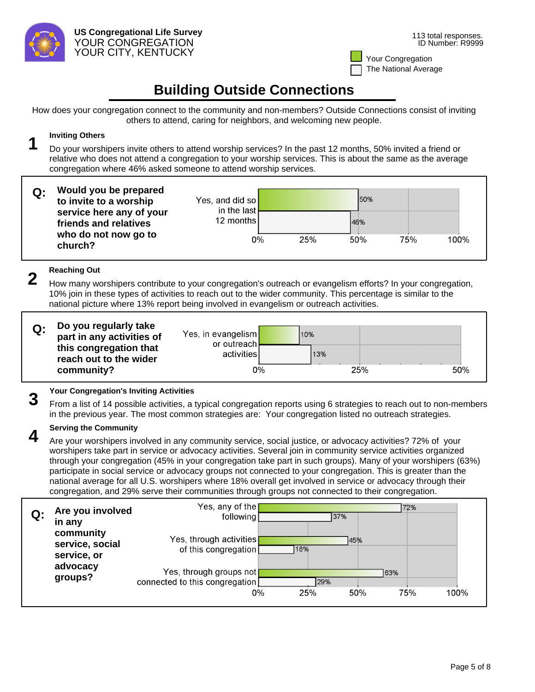

# **Building Outside Connections**

How does your congregation connect to the community and non-members? Outside Connections consist of inviting others to attend, caring for neighbors, and welcoming new people.

**1** Inviting Others<br>**1** Do your worshipers invite others to attend worship services? In the past 12 months, 50% invited a friend or relative who does not attend a congregation to your worship services. This is about the same as the average congregation where 46% asked someone to attend worship services.

| Q: | Would you be prepared<br>to invite to a worship   | Yes, and did so<br>in the last |     | 50% |     |      |
|----|---------------------------------------------------|--------------------------------|-----|-----|-----|------|
|    | service here any of your<br>friends and relatives | 12 months                      |     | 46% |     |      |
|    | who do not now go to<br>church?                   | 0%                             | 25% | 50% | 75% | 100% |

**2** Reaching Out<br>2 How many worshipers contribute to your congregation's outreach or evangelism efforts? In your congregation, 10% join in these types of activities to reach out to the wider community. This percentage is similar to the national picture where 13% report being involved in evangelism or outreach activities.

| Do you regularly take<br>part in any activities of             | Yes, in evangelism<br>or outreach. | 10%        |     |
|----------------------------------------------------------------|------------------------------------|------------|-----|
| this congregation that<br>reach out to the wider<br>community? | activities<br>0%                   | 13%<br>25% | 50% |
|                                                                |                                    |            |     |

**3 Pour Congregation's Inviting Activities**<br>**3** From a list of 14 possible activities, a typical congregation reports using 6 strategies to reach out to non-members in the previous year. The most common strategies are: Your congregation listed no outreach strategies.

**4** Serving the Community<br>A Are your worshipers involved in any community service, social justice, or advocacy activities? 72% of your worshipers take part in service or advocacy activities. Several join in community service activities organized through your congregation (45% in your congregation take part in such groups). Many of your worshipers (63%) participate in social service or advocacy groups not connected to your congregation. This is greater than the national average for all U.S. worshipers where 18% overall get involved in service or advocacy through their congregation, and 29% serve their communities through groups not connected to their congregation.

| Q: | Are you involved<br>in any                  | Yes, any of the<br>following                              |     | 37%  |     | 72% |      |
|----|---------------------------------------------|-----------------------------------------------------------|-----|------|-----|-----|------|
|    | community<br>service, social<br>service, or | Yes, through activities<br>of this congregation           | 18% | 145% |     |     |      |
|    | advocacy<br>groups?                         | Yes, through groups not<br>connected to this congregation |     | 29%  | 63% |     |      |
|    |                                             | 0%                                                        | 25% | 50%  |     | 75% | 100% |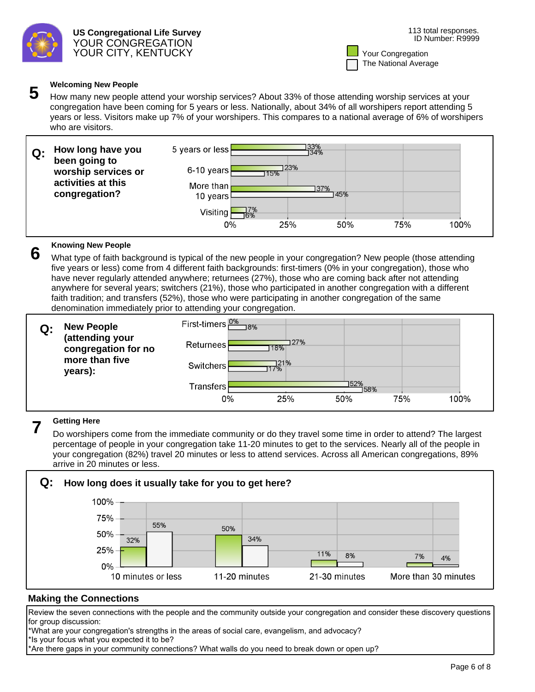

**5** Welcoming New People<br>**5** How many new people attend your worship services? About 33% of those attending worship services at your congregation have been coming for 5 years or less. Nationally, about 34% of all worshipers report attending 5 years or less. Visitors make up 7% of your worshipers. This compares to a national average of 6% of worshipers who are visitors.

| Q: | How long have you<br>been going to  | 5 years or less       |            | 33%<br>134% |     |     |      |
|----|-------------------------------------|-----------------------|------------|-------------|-----|-----|------|
|    | worship services or                 | $6-10$ years          | 23%<br>15% |             |     |     |      |
|    | activities at this<br>congregation? | More than<br>10 years |            | 137%<br>45% |     |     |      |
|    |                                     | Visiting              | 7%<br>6%   |             |     |     |      |
|    |                                     | 0%                    | 25%        |             | 50% | 75% | 100% |

**6** Knowing New People<br>**6** What type of faith background is typical of the new people in your congregation? New people (those attending five years or less) come from 4 different faith backgrounds: first-timers (0% in your congregation), those who have never regularly attended anywhere; returnees (27%), those who are coming back after not attending anywhere for several years; switchers (21%), those who participated in another congregation with a different faith tradition; and transfers (52%), those who were participating in another congregation of the same denomination immediately prior to attending your congregation.

| $Q$ : | <b>New People<br/>(attending your</b> | <u>First-timers 2%</u><br>$\n  8%\n$ |  |
|-------|---------------------------------------|--------------------------------------|--|
|       | congregation for no                   | 27%<br>Returnees<br>18%              |  |
|       | more than five<br>years):             | 21%<br><b>Switchers</b><br>7%        |  |
|       |                                       | 152%<br><b>Transfers</b><br>158%     |  |
|       |                                       | 25%<br>50%<br>75%<br>100%<br>0%      |  |

**Getting Here**<br>Do worshipers come from the immediate community or do they travel some time in order to attend? The largest percentage of people in your congregation take 11-20 minutes to get to the services. Nearly all of the people in your congregation (82%) travel 20 minutes or less to attend services. Across all American congregations, 89% arrive in 20 minutes or less.



# **Making the Connections**

Review the seven connections with the people and the community outside your congregation and consider these discovery questions for group discussion:

\*What are your congregation's strengths in the areas of social care, evangelism, and advocacy? \*Is your focus what you expected it to be?

\*Are there gaps in your community connections? What walls do you need to break down or open up?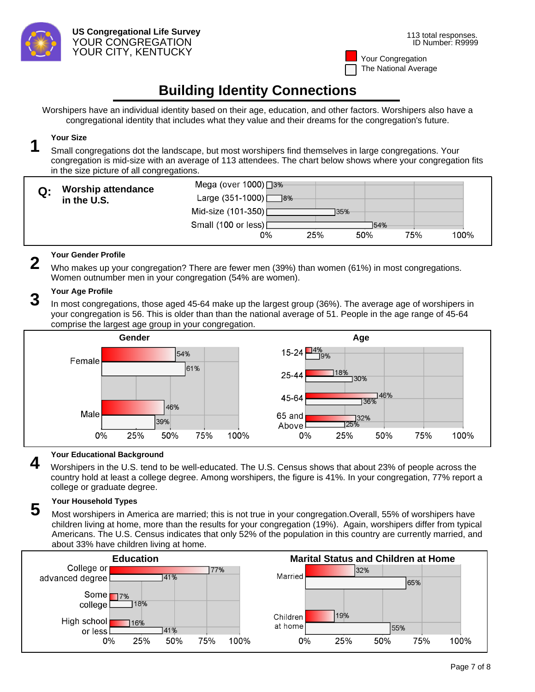

# **Building Identity Connections**

Worshipers have an individual identity based on their age, education, and other factors. Worshipers also have a congregational identity that includes what they value and their dreams for the congregation's future.

**1** Your Size<br> **1** Small congregations dot the landscape, but most worshipers find themselves in large congregations. Your congregation is mid-size with an average of 113 attendees. The chart below shows where your congregation fits in the size picture of all congregations.

|    | <b>Worship attendance</b> | Mega (over 1000) □ 3%       |     |      |     |      |
|----|---------------------------|-----------------------------|-----|------|-----|------|
| Q: | in the U.S.               | Large $(351-1000)$<br>$-8%$ |     |      |     |      |
|    |                           | Mid-size (101-350)          |     | 135% |     |      |
|    |                           | Small (100 or less) [       |     | 154% |     |      |
|    |                           | 0%                          | 25% | 50%  | 75% | 100% |

**2** Your Gender Profile<br>**2** Who makes up your congregation? There are fewer men (39%) than women (61%) in most congregations. Women outnumber men in your congregation (54% are women).

**Your Age Profile**<br>In most congregations, those aged 45-64 make up the largest group (36%). The average age of worshipers in your congregation is 56. This is older than than the national average of 51. People in the age range of 45-64 comprise the largest age group in your congregation.



**4** Your Educational Background<br>Worshipers in the U.S. tend to be well-educated. The U.S. Census shows that about 23% of people across the country hold at least a college degree. Among worshipers, the figure is 41%. In your congregation, 77% report a college or graduate degree.

**5** Your Household Types<br>**5** Most worshipers in America are married; this is not true in your congregation.Overall, 55% of worshipers have children living at home, more than the results for your congregation (19%). Again, worshipers differ from typical Americans. The U.S. Census indicates that only 52% of the population in this country are currently married, and about 33% have children living at home.